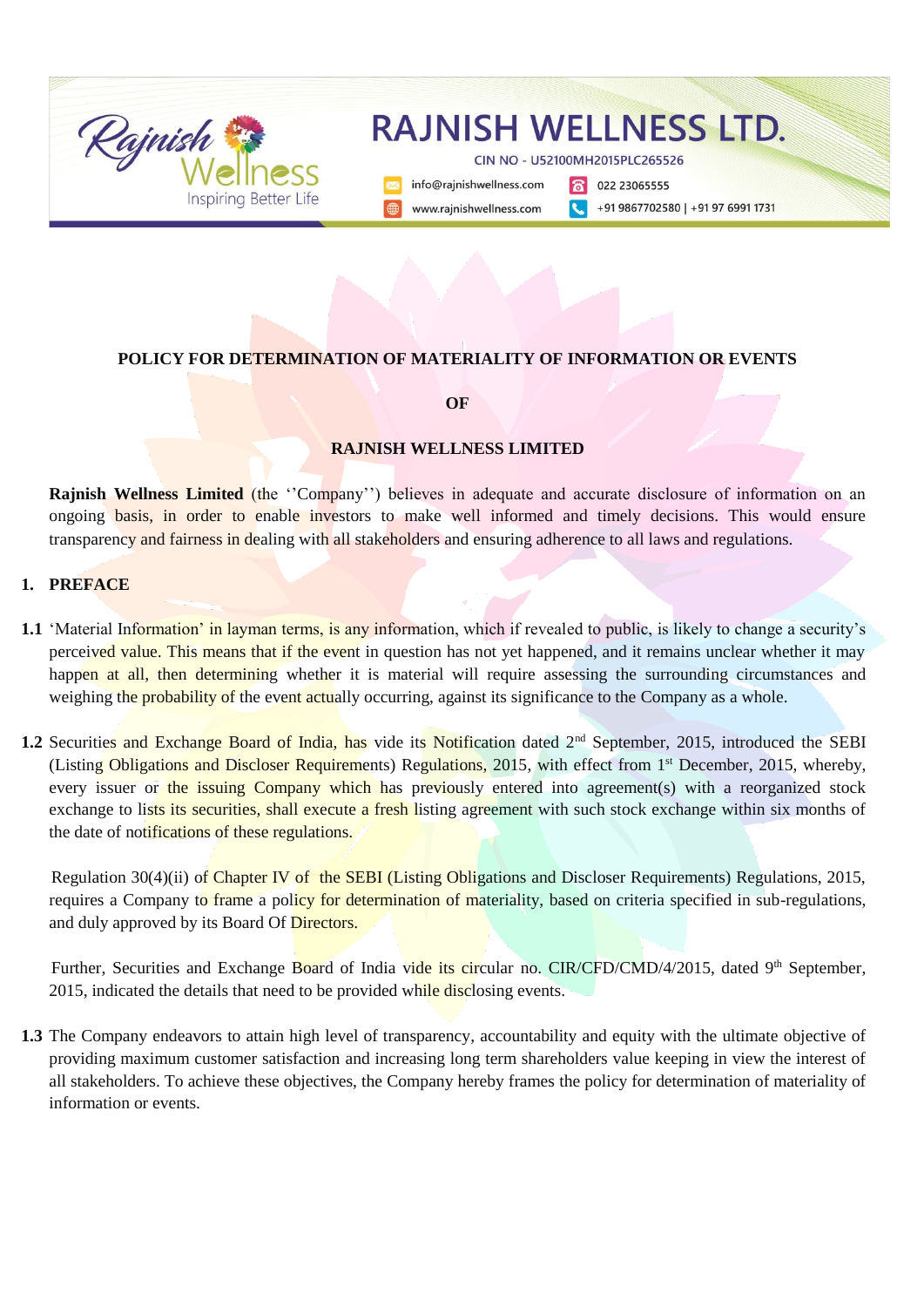

### **POLICY FOR DETERMINATION OF MATERIALITY OF INFORMATION OR EVENTS**

**OF**

#### **RAJNISH WELLNESS LIMITED**

**Rajnish Wellness Limited** (the "Company") believes in adequate and accurate disclosure of information on an ongoing basis, in order to enable investors to make well informed and timely decisions. This would ensure transparency and fairness in dealing with all stakeholders and ensuring adherence to all laws and regulations.

### **1. PREFACE**

- **1.1** 'Material Information' in layman terms, is any information, which if revealed to public, is likely to change a security's perceived value. This means that if the event in question has not yet happened, and it remains unclear whether it may happen at all, then determining whether it is material will require assessing the surrounding circumstances and weighing the probability of the event actually occurring, against its significance to the Company as a whole.
- 1.2 Securities and Exchange Board of India, has vide its Notification dated 2<sup>nd</sup> September, 2015, introduced the SEBI (Listing Obligations and Discloser Requirements) Regulations, 2015, with effect from 1<sup>st</sup> December, 2015, whereby, every issuer or the issuing Company which has previously entered into agreement(s) with a reorganized stock exchange to lists its securities, shall execute a fresh listing agreement with such stock exchange within six months of the date of notifications of these regulations.

 Regulation 30(4)(ii) of Chapter IV of the SEBI (Listing Obligations and Discloser Requirements) Regulations, 2015, requires a Company to frame a policy for determination of materiality, based on criteria specified in sub-regulations, and duly approved by its Board Of Directors.

Further, Securities and Exchange Board of India vide its circular no. CIR/CFD/CMD/4/2015, dated 9<sup>th</sup> September, 2015, indicated the details that need to be provided while disclosing events.

**1.3** The Company endeavors to attain high level of transparency, accountability and equity with the ultimate objective of providing maximum customer satisfaction and increasing long term shareholders value keeping in view the interest of all stakeholders. To achieve these objectives, the Company hereby frames the policy for determination of materiality of information or events.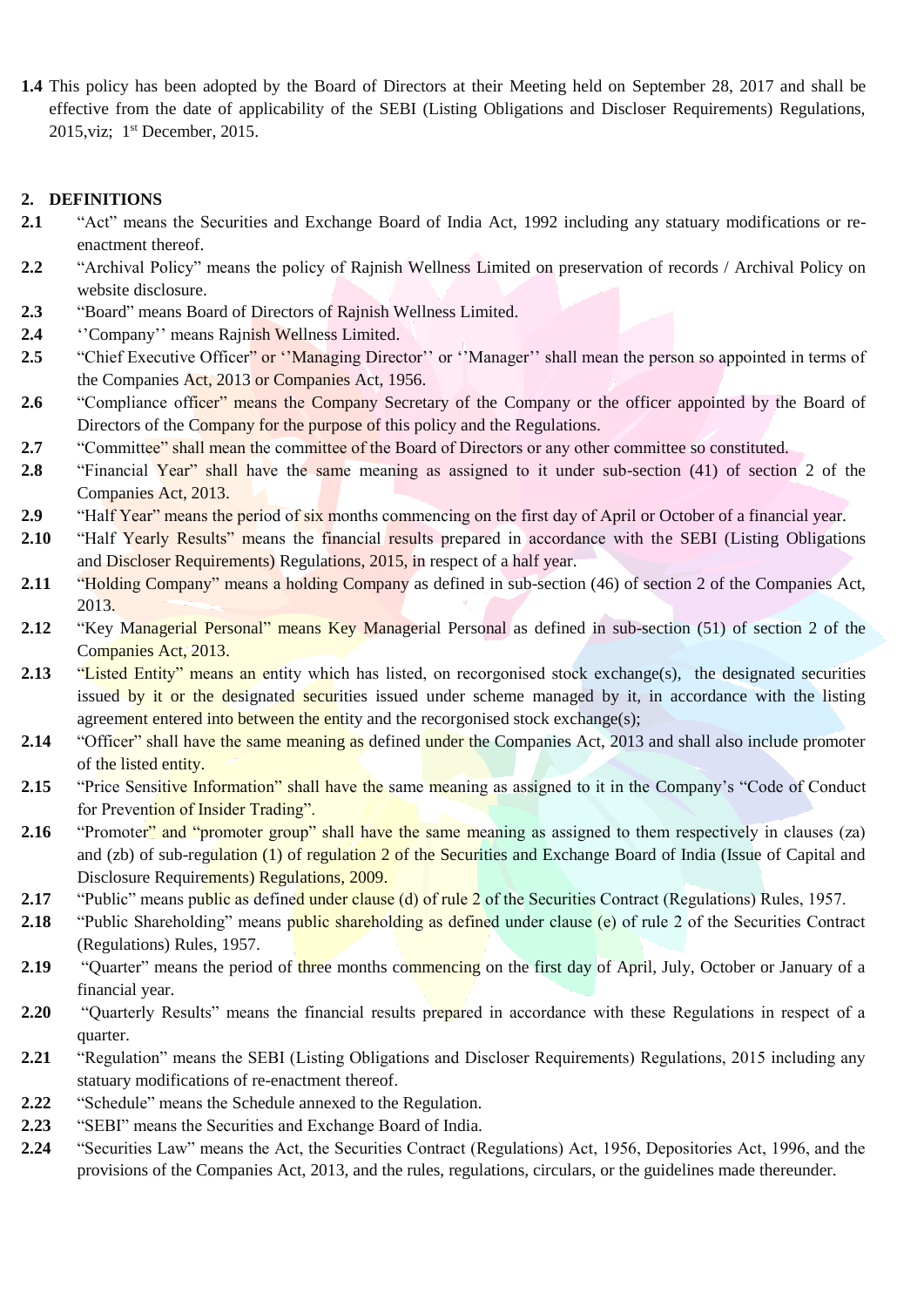**1.4** This policy has been adopted by the Board of Directors at their Meeting held on September 28, 2017 and shall be effective from the date of applicability of the SEBI (Listing Obligations and Discloser Requirements) Regulations, 2015, viz; 1<sup>st</sup> December, 2015.

## **2. DEFINITIONS**

- **2.1** "Act" means the Securities and Exchange Board of India Act, 1992 including any statuary modifications or reenactment thereof.
- **2.2** "Archival Policy" means the policy of Rajnish Wellness Limited on preservation of records / Archival Policy on website disclosure.
- **2.3** "Board" means Board of Directors of Rajnish Wellness Limited.
- **2.4** ''Company'' means Rajnish Wellness Limited.
- 2.5 "Chief Executive Officer" or "Managing Director" or "Manager" shall mean the person so appointed in terms of the Companies Act, 2013 or Companies Act, 1956.
- 2.6 "Compliance officer" means the Company Secretary of the Company or the officer appointed by the Board of Directors of the Company for the purpose of this policy and the Regulations.
- **2.7** "Committee" shall mean the committee of the Board of Directors or any other committee so constituted.
- **2.8** "Financial Year" shall have the same meaning as assigned to it under sub-section (41) of section 2 of the Companies Act, 2013.
- **2.9** "Half Year" means the period of six months commencing on the first day of April or October of a financial year.
- 2.10 "Half Yearly Results" means the financial results prepared in accordance with the SEBI (Listing Obligations and Discloser Requirements) Regulations, 2015, in respect of a half year.
- **2.11** "Holding Company" means a holding Company as defined in sub-section (46) of section 2 of the Companies Act, 2013.
- **2.12** "Key Managerial Personal" means Key Managerial Personal as defined in sub-section (51) of section 2 of the Companies Act, 2013.
- 2.13 "Listed Entity" means an entity which has listed, on recorgonised stock exchange(s), the designated securities issued by it or the designated securities issued under scheme managed by it, in accordance with the listing agreement entered into between the entity and the recorgonised stock exchange(s);
- 2.14 "Officer" shall have the same meaning as defined under the Companies Act, 2013 and shall also include promoter of the listed entity.
- 2.15 "Price Sensitive Information" shall have the same meaning as assigned to it in the Company's "Code of Conduct for Prevention of Insider Trading".
- **2.16** "Promoter" and "promoter group" shall have the same meaning as assigned to them respectively in clauses (za) and (zb) of sub-regulation (1) of regulation 2 of the Securities and Exchange Board of India (Issue of Capital and Disclosure Requirements) Regulations, 2009.
- 2.17 "Public" means public as defined under clause (d) of rule 2 of the Securities Contract (Regulations) Rules, 1957.
- **2.18** "Public Shareholding" means public shareholding as defined under clause (e) of rule 2 of the Securities Contract (Regulations) Rules, 1957.
- **2.19** "Quarter" means the period of three months commencing on the first day of April, July, October or January of a financial year.
- **2.20** "Quarterly Results" means the financial results prepared in accordance with these Regulations in respect of a quarter.
- **2.21** "Regulation" means the SEBI (Listing Obligations and Discloser Requirements) Regulations, 2015 including any statuary modifications of re-enactment thereof.
- **2.22** "Schedule" means the Schedule annexed to the Regulation.
- **2.23** "SEBI" means the Securities and Exchange Board of India.
- **2.24** "Securities Law" means the Act, the Securities Contract (Regulations) Act, 1956, Depositories Act, 1996, and the provisions of the Companies Act, 2013, and the rules, regulations, circulars, or the guidelines made thereunder.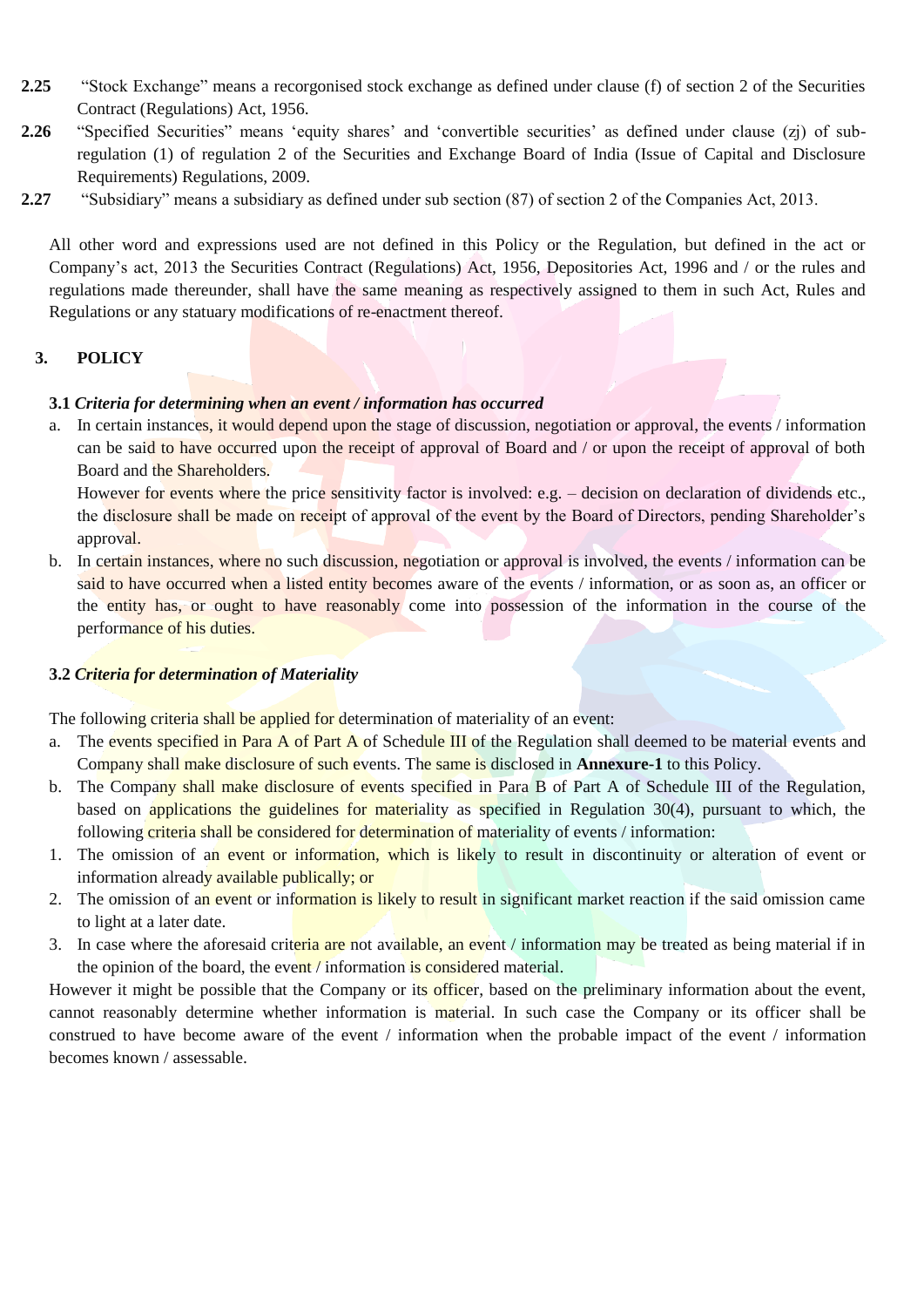- **2.25** "Stock Exchange" means a recorgonised stock exchange as defined under clause (f) of section 2 of the Securities Contract (Regulations) Act, 1956.
- **2.26** "Specified Securities" means 'equity shares' and 'convertible securities' as defined under clause (zj) of subregulation (1) of regulation 2 of the Securities and Exchange Board of India (Issue of Capital and Disclosure Requirements) Regulations, 2009.
- **2.27** "Subsidiary" means a subsidiary as defined under sub section (87) of section 2 of the Companies Act, 2013.

All other word and expressions used are not defined in this Policy or the Regulation, but defined in the act or Company's act, 2013 the Securities Contract (Regulations) Act, 1956, Depositories Act, 1996 and / or the rules and regulations made thereunder, shall have the same meaning as respectively assigned to them in such Act, Rules and Regulations or any statuary modifications of re-enactment thereof.

# **3. POLICY**

## **3.1** *Criteria for determining when an event / information has occurred*

a. In certain instances, it would depend upon the stage of discussion, negotiation or approval, the events / information can be said to have occurred upon the receipt of approval of Board and / or upon the receipt of approval of both Board and the Shareholders.

However for events where the price sensitivity factor is involved: e.g. – decision on declaration of dividends etc., the disclosure shall be made on receipt of approval of the event by the Board of Directors, pending Shareholder's approval.

b. In certain instances, where no such discussion, negotiation or approval is involved, the events / information can be said to have occurred when a listed entity becomes aware of the events / information, or as soon as, an officer or the entity has, or ought to have reasonably come into possession of the information in the course of the performance of his duties.

## **3.2** *Criteria for determination of Materiality*

The following criteria shall be applied for determination of materiality of an event:

- a. The events specified in Para A of Part A of Schedule III of the Regulation shall deemed to be material events and Company shall make disclosure of such events. The same is disclosed in **Annexure-1** to this Policy.
- b. The Company shall make disclosure of events specified in Para B of Part A of Schedule III of the Regulation, based on applications the guidelines for materiality as specified in Regulation 30(4), pursuant to which, the following criteria shall be considered for determination of materiality of events / information:
- 1. The omission of an event or information, which is likely to result in discontinuity or alteration of event or information already available publically; or
- 2. The omission of an event or information is likely to result in significant market reaction if the said omission came to light at a later date.
- 3. In case where the aforesaid criteria are not available, an event / information may be treated as being material if in the opinion of the board, the event / information is considered material.

However it might be possible that the Company or its officer, based on the preliminary information about the event, cannot reasonably determine whether information is material. In such case the Company or its officer shall be construed to have become aware of the event / information when the probable impact of the event / information becomes known / assessable.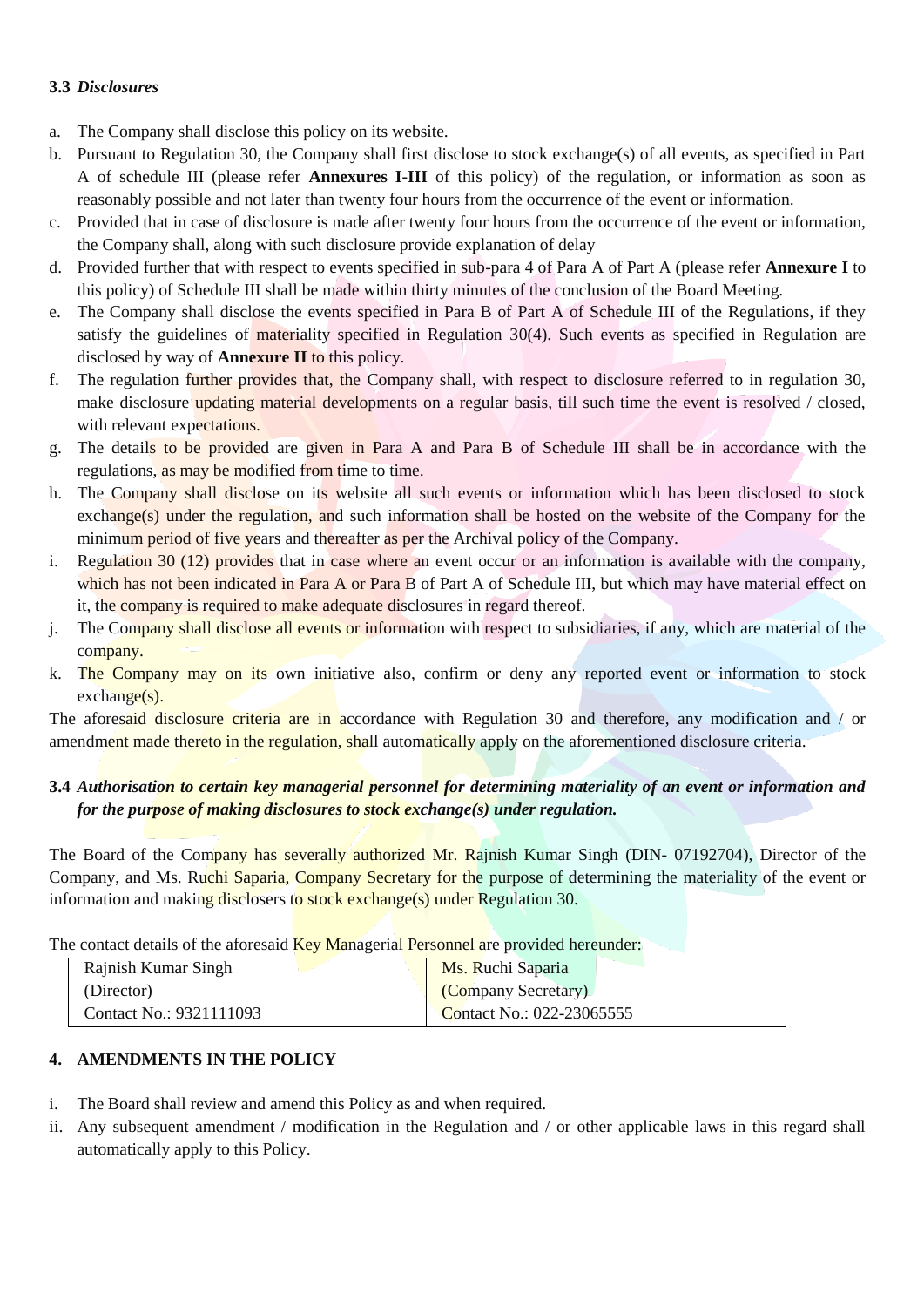# **3.3** *Disclosures*

- a. The Company shall disclose this policy on its website.
- b. Pursuant to Regulation 30, the Company shall first disclose to stock exchange(s) of all events, as specified in Part A of schedule III (please refer **Annexures I-III** of this policy) of the regulation, or information as soon as reasonably possible and not later than twenty four hours from the occurrence of the event or information.
- c. Provided that in case of disclosure is made after twenty four hours from the occurrence of the event or information, the Company shall, along with such disclosure provide explanation of delay
- d. Provided further that with respect to events specified in sub-para 4 of Para A of Part A (please refer **Annexure I** to this policy) of Schedule III shall be made within thirty minutes of the conclusion of the Board Meeting.
- e. The Company shall disclose the events specified in Para B of Part A of Schedule III of the Regulations, if they satisfy the guidelines of materiality specified in Regulation 30(4). Such events as specified in Regulation are disclosed by way of **Annexure II** to this policy.
- f. The regulation further provides that, the Company shall, with respect to disclosure referred to in regulation 30, make disclosure updating material developments on a regular basis, till such time the event is resolved / closed, with relevant expectations.
- g. The details to be provided are given in Para A and Para B of Schedule III shall be in accordance with the regulations, as may be modified from time to time.
- h. The Company shall disclose on its website all such events or information which has been disclosed to stock exchange(s) under the regulation, and such information shall be hosted on the website of the Company for the minimum period of five years and thereafter as per the Archival policy of the Company.
- i. Regulation 30 (12) provides that in case where an event occur or an information is available with the company, which has not been indicated in Para A or Para B of Part A of Schedule III, but which may have material effect on it, the company is required to make adequate disclosures in regard thereof.
- j. The Company shall disclose all events or information with respect to subsidiaries, if any, which are material of the company.
- k. The Company may on its own initiative also, confirm or deny any reported event or information to stock exchange(s).

The aforesaid disclosure criteria are in accordance with Regulation 30 and therefore, any modification and / or amendment made thereto in the regulation, shall automatically apply on the aforementioned disclosure criteria.

# **3.4** *Authorisation to certain key managerial personnel for determining materiality of an event or information and for the purpose of making disclosures to stock exchange(s) under regulation.*

The Board of the Company has severally authorized Mr. Rajnish Kumar Singh (DIN- 07192704), Director of the Company, and Ms. Ruchi Saparia, Company Secretary for the purpose of determining the materiality of the event or information and making disclosers to stock exchange(s) under Regulation 30.

The contact details of the aforesaid **Key Managerial Personnel are provided hereunder:** 

| Rajnish Kumar Singh     | Ms. Ruchi Saparia                |
|-------------------------|----------------------------------|
| (Director)              | (Company Secretary)              |
| Contact No.: 9321111093 | <b>Contact No.: 022-23065555</b> |

# **4. AMENDMENTS IN THE POLICY**

- i. The Board shall review and amend this Policy as and when required.
- ii. Any subsequent amendment / modification in the Regulation and / or other applicable laws in this regard shall automatically apply to this Policy.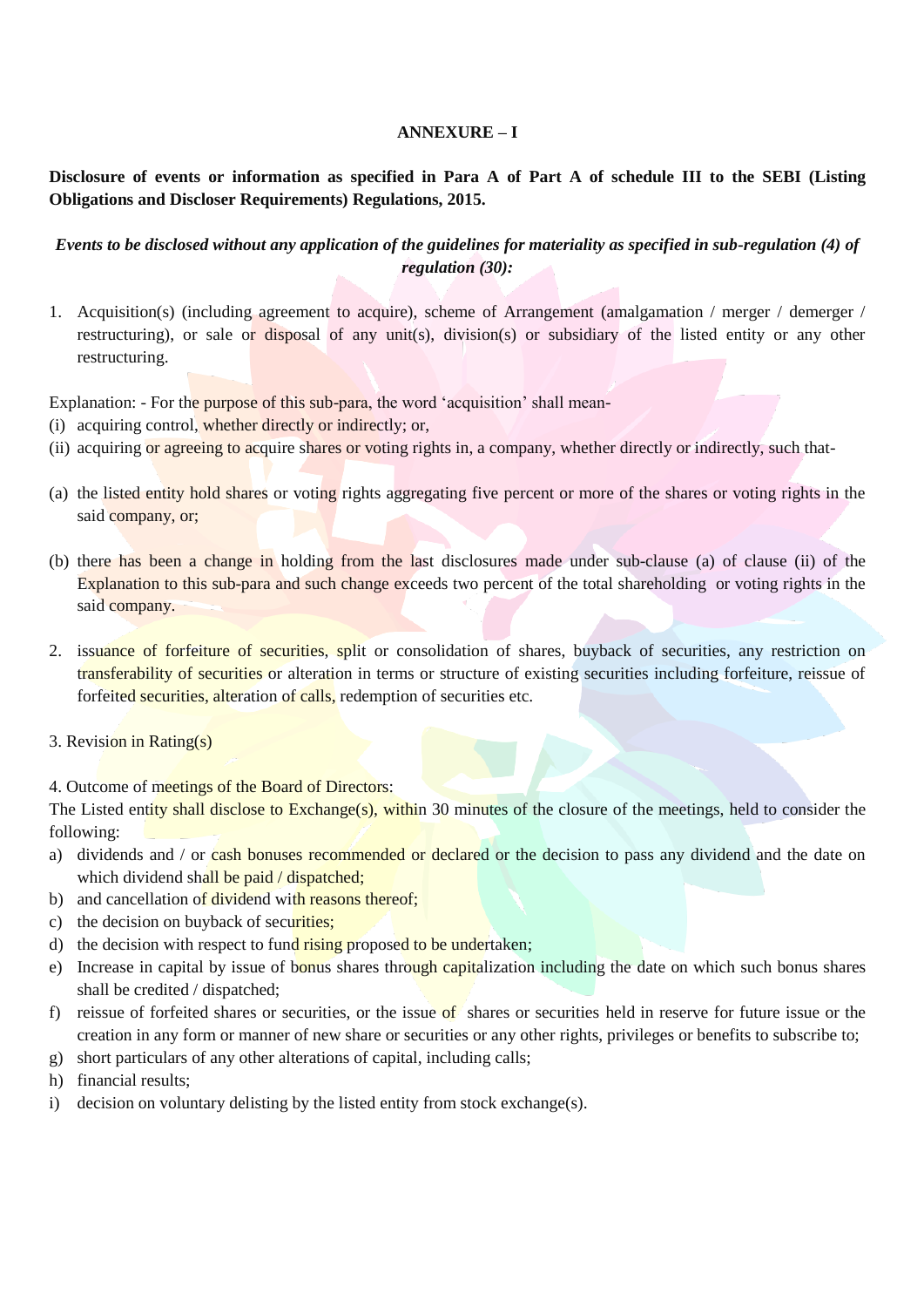## **ANNEXURE – I**

**Disclosure of events or information as specified in Para A of Part A of schedule III to the SEBI (Listing Obligations and Discloser Requirements) Regulations, 2015.**

# *Events to be disclosed without any application of the guidelines for materiality as specified in sub-regulation (4) of regulation (30):*

1. Acquisition(s) (including agreement to acquire), scheme of Arrangement (amalgamation / merger / demerger / restructuring), or sale or disposal of any unit(s), division(s) or subsidiary of the listed entity or any other restructuring.

Explanation: - For the purpose of this sub-para, the word 'acquisition' shall mean-

- (i) acquiring control, whether directly or indirectly; or,
- (ii) acquiring or agreeing to acquire shares or voting rights in, a company, whether directly or indirectly, such that-
- (a) the listed entity hold shares or voting rights aggregating five percent or more of the shares or voting rights in the said company, or;
- (b) there has been a change in holding from the last disclosures made under sub-clause (a) of clause (ii) of the Explanation to this sub-para and such change exceeds two percent of the total shareholding or voting rights in the said company.
- 2. issuance of forfeiture of securities, split or consolidation of shares, buyback of securities, any restriction on transferability of securities or alteration in terms or structure of existing securities including forfeiture, reissue of forfeited securities, alteration of calls, redemption of securities etc.
- 3. Revision in Rating(s)

4. Outcome of meetings of the Board of Directors:

The Listed entity shall disclose to Exchange(s), within 30 minutes of the closure of the meetings, held to consider the following:

- a) dividends and / or cash bonuses recommended or declared or the decision to pass any dividend and the date on which dividend shall be paid / dispatched;
- b) and cancellation of dividend with reasons thereof;
- c) the decision on buyback of securities;
- d) the decision with respect to fund rising proposed to be undertaken;
- e) Increase in capital by issue of bonus shares through capitalization including the date on which such bonus shares shall be credited / dispatched;
- f) reissue of forfeited shares or securities, or the issue of shares or securities held in reserve for future issue or the creation in any form or manner of new share or securities or any other rights, privileges or benefits to subscribe to;
- g) short particulars of any other alterations of capital, including calls;
- h) financial results;
- i) decision on voluntary delisting by the listed entity from stock exchange(s).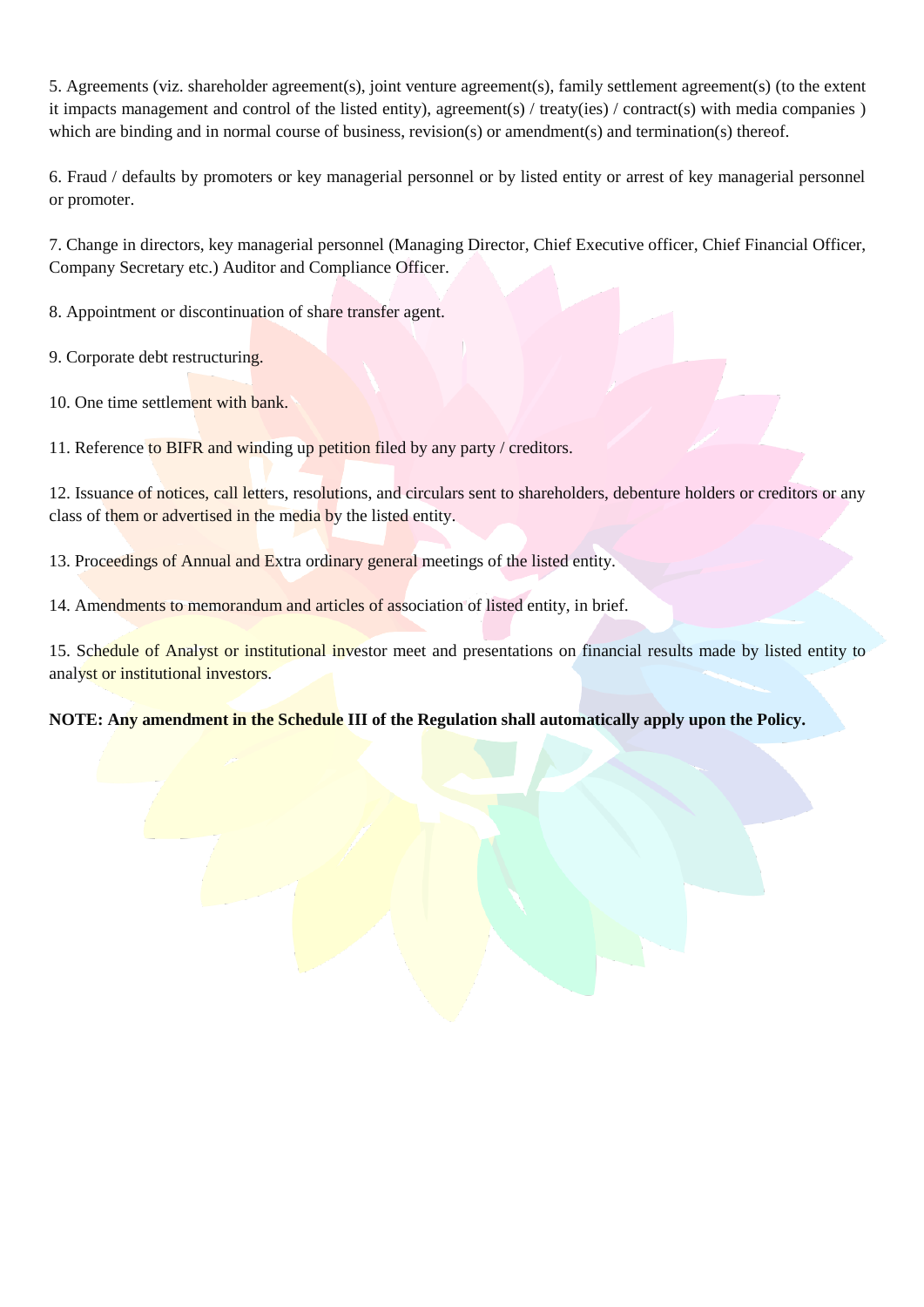5. Agreements (viz. shareholder agreement(s), joint venture agreement(s), family settlement agreement(s) (to the extent it impacts management and control of the listed entity), agreement(s) / treaty(ies) / contract(s) with media companies ) which are binding and in normal course of business, revision(s) or amendment(s) and termination(s) thereof.

6. Fraud / defaults by promoters or key managerial personnel or by listed entity or arrest of key managerial personnel or promoter.

7. Change in directors, key managerial personnel (Managing Director, Chief Executive officer, Chief Financial Officer, Company Secretary etc.) Auditor and Compliance Officer.

8. Appointment or discontinuation of share transfer agent.

9. Corporate debt restructuring.

10. One time settlement with bank.

11. Reference to BIFR and winding up petition filed by any party / creditors.

12. Issuance of notices, call letters, resolutions, and circulars sent to shareholders, debenture holders or creditors or any class of them or advertised in the media by the listed entity.

13. Proceedings of Annual and Extra ordinary general meetings of the listed entity.

14. Amendments to memorandum and articles of association of listed entity, in brief.

15. Schedule of Analyst or institutional investor meet and presentations on financial results made by listed entity to analyst or institutional investors.

**NOTE: Any amendment in the Schedule III of the Regulation shall automatically apply upon the Policy.**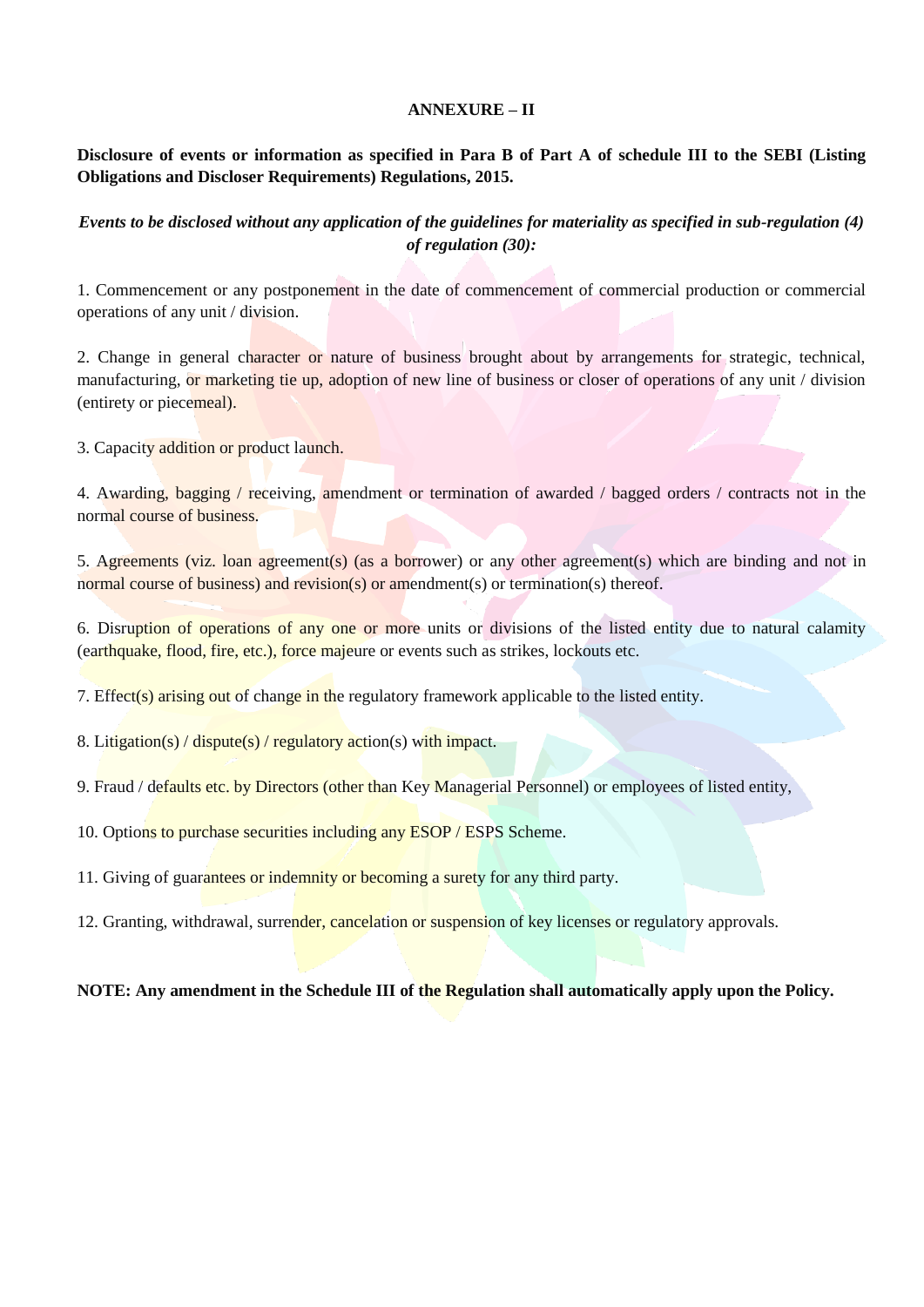## **ANNEXURE – II**

# **Disclosure of events or information as specified in Para B of Part A of schedule III to the SEBI (Listing Obligations and Discloser Requirements) Regulations, 2015.**

# *Events to be disclosed without any application of the guidelines for materiality as specified in sub-regulation (4) of regulation (30):*

1. Commencement or any postponement in the date of commencement of commercial production or commercial operations of any unit / division.

2. Change in general character or nature of business brought about by arrangements for strategic, technical, manufacturing, or marketing tie up, adoption of new line of business or closer of operations of any unit / division (entirety or piecemeal).

3. Capacity addition or product launch.

4. Awarding, bagging / receiving, amendment or termination of awarded / bagged orders / contracts not in the normal course of business.

5. Agreements (viz. loan agreement(s) (as a borrower) or any other agreement(s) which are binding and not in normal course of business) and revision(s) or amendment(s) or termination(s) thereof.

6. Disruption of operations of any one or more units or divisions of the listed entity due to natural calamity (earthquake, flood, fire, etc.), force majeure or events such as strikes, lockouts etc.

7. Effect(s) arising out of change in the regulatory framework applicable to the listed entity.

8. Litigation(s) / dispute(s) / regulatory action(s) with impact.

9. Fraud / defaults etc. by Directors (other than Key Managerial Personnel) or employees of listed entity,

10. Options to purchase securities including any ESOP / ESPS Scheme.

11. Giving of guarantees or indemnity or becoming a surety for any third party.

12. Granting, withdrawal, surrender, cancelation or suspension of key licenses or regulatory approvals.

**NOTE: Any amendment in the Schedule III of the Regulation shall automatically apply upon the Policy.**